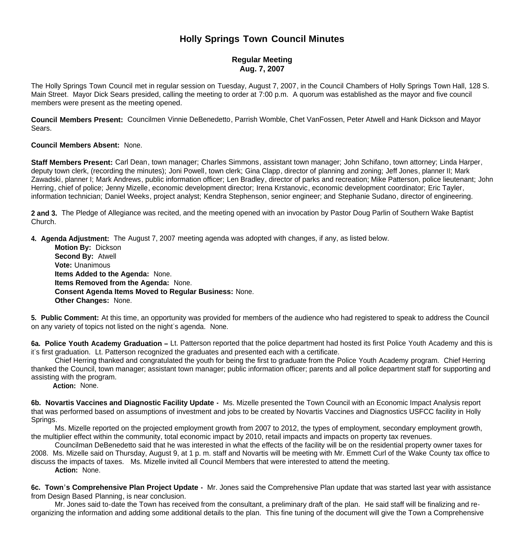# **Holly Springs Town Council Minutes**

## **Regular Meeting Aug. 7, 2007**

The Holly Springs Town Council met in regular session on Tuesday, August 7, 2007, in the Council Chambers of Holly Springs Town Hall, 128 S. Main Street. Mayor Dick Sears presided, calling the meeting to order at 7:00 p.m. A quorum was established as the mayor and five council members were present as the meeting opened.

**Council Members Present:** Councilmen Vinnie DeBenedetto, Parrish Womble, Chet VanFossen, Peter Atwell and Hank Dickson and Mayor Sears.

#### **Council Members Absent:** None.

**Staff Members Present:** Carl Dean, town manager; Charles Simmons, assistant town manager; John Schifano, town attorney; Linda Harper, deputy town clerk, (recording the minutes); Joni Powell, town clerk; Gina Clapp, director of planning and zoning; Jeff Jones, planner II; Mark Zawadski, planner I; Mark Andrews, public information officer; Len Bradley, director of parks and recreation; Mike Patterson, police lieutenant; John Herring, chief of police; Jenny Mizelle, economic development director; Irena Krstanovic, economic development coordinator; Eric Tayler, information technician; Daniel Weeks, project analyst; Kendra Stephenson, senior engineer; and Stephanie Sudano, director of engineering.

**2 and 3.** The Pledge of Allegiance was recited, and the meeting opened with an invocation by Pastor Doug Parlin of Southern Wake Baptist Church.

**4. Agenda Adjustment:** The August 7, 2007 meeting agenda was adopted with changes, if any, as listed below.

 **Motion By:** Dickson **Second By:** Atwell **Vote:** Unanimous **Items Added to the Agenda:** None. **Items Removed from the Agenda:** None. **Consent Agenda Items Moved to Regular Business:** None. **Other Changes:** None.

**5. Public Comment:** At this time, an opportunity was provided for members of the audience who had registered to speak to address the Council on any variety of topics not listed on the night's agenda. None.

**6a. Police Youth Academy Graduation –** Lt. Patterson reported that the police department had hosted its first Police Youth Academy and this is it's first graduation. Lt. Patterson recognized the graduates and presented each with a certificate.

Chief Herring thanked and congratulated the youth for being the first to graduate from the Police Youth Academy program. Chief Herring thanked the Council, town manager; assistant town manager; public information officer; parents and all police department staff for supporting and assisting with the program.

 **Action:** None.

**6b. Novartis Vaccines and Diagnostic Facility Update -** Ms. Mizelle presented the Town Council with an Economic Impact Analysis report that was performed based on assumptions of investment and jobs to be created by Novartis Vaccines and Diagnostics USFCC facility in Holly Springs.

Ms. Mizelle reported on the projected employment growth from 2007 to 2012, the types of employment, secondary employment growth, the multiplier effect within the community, total economic impact by 2010, retail impacts and impacts on property tax revenues.

Councilman DeBenedetto said that he was interested in what the effects of the facility will be on the residential property owner taxes for 2008. Ms. Mizelle said on Thursday, August 9, at 1 p. m. staff and Novartis will be meeting with Mr. Emmett Curl of the Wake County tax office to discuss the impacts of taxes. Ms. Mizelle invited all Council Members that were interested to attend the meeting.  **Action:** None.

**6c. Town's Comprehensive Plan Project Update -** Mr. Jones said the Comprehensive Plan update that was started last year with assistance from Design Based Planning, is near conclusion.

 Mr. Jones said to-date the Town has received from the consultant, a preliminary draft of the plan. He said staff will be finalizing and reorganizing the information and adding some additional details to the plan. This fine tuning of the document will give the Town a Comprehensive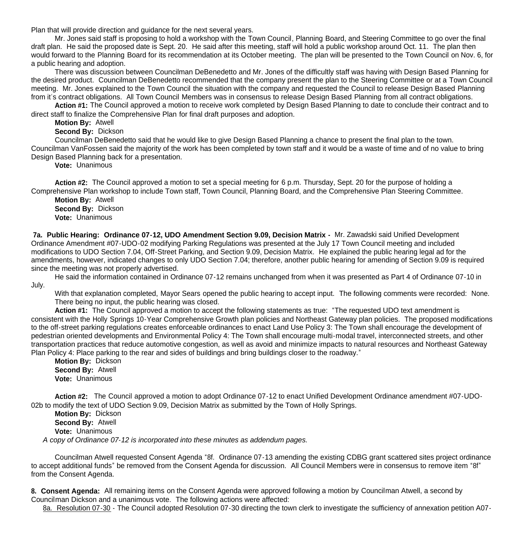Plan that will provide direction and guidance for the next several years.

 Mr. Jones said staff is proposing to hold a workshop with the Town Council, Planning Board, and Steering Committee to go over the final draft plan. He said the proposed date is Sept. 20. He said after this meeting, staff will hold a public workshop around Oct. 11. The plan then would forward to the Planning Board for its recommendation at its October meeting. The plan will be presented to the Town Council on Nov. 6, for a public hearing and adoption.

 There was discussion between Councilman DeBenedetto and Mr. Jones of the difficultly staff was having with Design Based Planning for the desired product. Councilman DeBenedetto recommended that the company present the plan to the Steering Committee or at a Town Council meeting. Mr. Jones explained to the Town Council the situation with the company and requested the Council to release Design Based Planning from it's contract obligations. All Town Council Members was in consensus to release Design Based Planning from all contract obligations.

**Action #1:** The Council approved a motion to receive work completed by Design Based Planning to date to conclude their contract and to direct staff to finalize the Comprehensive Plan for final draft purposes and adoption.

**Motion By:** Atwell

**Second By:** Dickson

Councilman DeBenedetto said that he would like to give Design Based Planning a chance to present the final plan to the town. Councilman VanFossen said the majority of the work has been completed by town staff and it would be a waste of time and of no value to bring Design Based Planning back for a presentation.

**Vote:** Unanimous

**Action #2:** The Council approved a motion to set a special meeting for 6 p.m. Thursday, Sept. 20 for the purpose of holding a Comprehensive Plan workshop to include Town staff, Town Council, Planning Board, and the Comprehensive Plan Steering Committee.

**Motion By:** Atwell **Second By:** Dickson **Vote:** Unanimous

**7a. Public Hearing: Ordinance 07-12, UDO Amendment Section 9.09, Decision Matrix -** Mr. Zawadski said Unified Development Ordinance Amendment #07-UDO-02 modifying Parking Regulations was presented at the July 17 Town Council meeting and included modifications to UDO Section 7.04, Off-Street Parking, and Section 9.09, Decision Matrix. He explained the public hearing legal ad for the amendments, however, indicated changes to only UDO Section 7.04; therefore, another public hearing for amending of Section 9.09 is required since the meeting was not properly advertised.

 He said the information contained in Ordinance 07-12 remains unchanged from when it was presented as Part 4 of Ordinance 07-10 in July.

With that explanation completed, Mayor Sears opened the public hearing to accept input. The following comments were recorded: None. There being no input, the public hearing was closed.

 **Action #1:** The Council approved a motion to accept the following statements as true: "The requested UDO text amendment is consistent with the Holly Springs 10-Year Comprehensive Growth plan policies and Northeast Gateway plan policies. The proposed modifications to the off-street parking regulations creates enforceable ordinances to enact Land Use Policy 3: The Town shall encourage the development of pedestrian oriented developments and Environmental Policy 4: The Town shall encourage multi-modal travel, interconnected streets, and other transportation practices that reduce automotive congestion, as well as avoid and minimize impacts to natural resources and Northeast Gateway Plan Policy 4: Place parking to the rear and sides of buildings and bring buildings closer to the roadway."

**Motion By:** Dickson **Second By:** Atwell **Vote:** Unanimous

**Action #2:** The Council approved a motion to adopt Ordinance 07-12 to enact Unified Development Ordinance amendment #07-UDO-02b to modify the text of UDO Section 9.09, Decision Matrix as submitted by the Town of Holly Springs.

 **Motion By:** Dickson **Second By:** Atwell **Vote:** Unanimous  *A copy of Ordinance 07-12 is incorporated into these minutes as addendum pages.*

 Councilman Atwell requested Consent Agenda "8f. Ordinance 07-13 amending the existing CDBG grant scattered sites project ordinance to accept additional funds" be removed from the Consent Agenda for discussion. All Council Members were in consensus to remove item "8f" from the Consent Agenda.

**8. Consent Agenda:** All remaining items on the Consent Agenda were approved following a motion by Councilman Atwell, a second by Councilman Dickson and a unanimous vote. The following actions were affected:

8a. Resolution 07-30 - The Council adopted Resolution 07-30 directing the town clerk to investigate the sufficiency of annexation petition A07-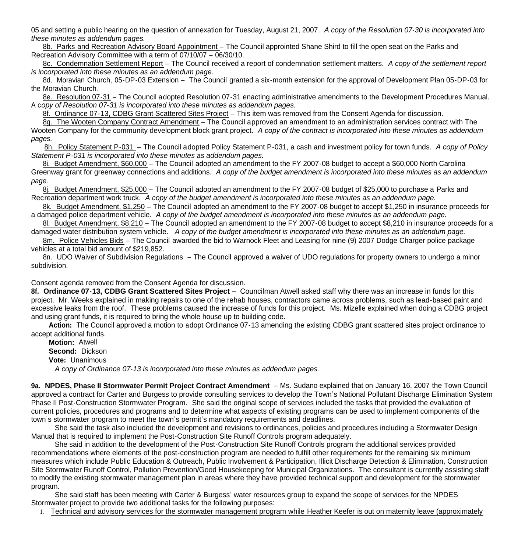05 and setting a public hearing on the question of annexation for Tuesday, August 21, 2007. *A copy of the Resolution 07-30 is incorporated into these minutes as addendum pages.*

 8b. Parks and Recreation Advisory Board Appointment – The Council approinted Shane Shird to fill the open seat on the Parks and Recreation Advisory Committee with a term of 07/10/07 – 06/30/10.

 8c. Condemnation Settlement Report – The Council received a report of condemnation settlement matters. *A copy of the settlement report is incorporated into these minutes as an addendum page.*

8d. Moravian Church, 05-DP-03 Extension – The Council granted a six-month extension for the approval of Development Plan 05-DP-03 for the Moravian Church.

 8e. Resolution 07-31 – The Council adopted Resolution 07-31 enacting administrative amendments to the Development Procedures Manual. A c*opy of Resolution 07-31 is incorporated into these minutes as addendum pages.*

8f. Ordinance 07-13, CDBG Grant Scattered Sites Project – This item was removed from the Consent Agenda for discussion.

 8g. The Wooten Company Contract Amendment – The Council approved an amendment to an administration services contract with The Wooten Company for the community development block grant project. A copy of the contract is incorporated into these minutes as addendum *pages.*

8h. Policy Statement P-031 – The Council adopted Policy Statement P-031, a cash and investment policy for town funds. *A copy of Policy Statement P-031 is incorporated into these minutes as addendum pages.*

 8i. Budget Amendment, \$60,000 – The Council adopted an amendment to the FY 2007-08 budget to accept a \$60,000 North Carolina Greenway grant for greenway connections and additions. *A copy of the budget amendment is incorporated into these minutes as an addendum page.*

 8j. Budget Amendment, \$25,000 – The Council adopted an amendment to the FY 2007-08 budget of \$25,000 to purchase a Parks and Recreation department work truck. *A copy of the budget amendment is incorporated into these minutes as an addendum page.*

 8k. Budget Amendment, \$1,250 – The Council adopted an amendment to the FY 2007-08 budget to accept \$1,250 in insurance proceeds for a damaged police department vehicle. *A copy of the budget amendment is incorporated into these minutes as an addendum page.*

 8l. Budget Amendment, \$8,210 – The Council adopted an amendment to the FY 2007-08 budget to accept \$8,210 in insurance proceeds for a damaged water distribution system vehicle. *A copy of the budget amendment is incorporated into these minutes as an addendum page.*

8m. Police Vehicles Bids – The Council awarded the bid to Warnock Fleet and Leasing for nine (9) 2007 Dodge Charger police package vehicles at a total bid amount of \$219,852.

 8n. UDO Waiver of Subdivision Regulations – The Council approved a waiver of UDO regulations for property owners to undergo a minor subdivision.

### Consent agenda removed from the Consent Agenda for discussion.

**8f. Ordinance 07-13, CDBG Grant Scattered Sites Project** – Councilman Atwell asked staff why there was an increase in funds for this project. Mr. Weeks explained in making repairs to one of the rehab houses, contractors came across problems, such as lead-based paint and excessive leaks from the roof. These problems caused the increase of funds for this project. Ms. Mizelle explained when doing a CDBG project and using grant funds, it is required to bring the whole house up to building code.

 **Action:** The Council approved a motion to adopt Ordinance 07-13 amending the existing CDBG grant scattered sites project ordinance to accept additional funds.

 **Motion:** Atwell  **Second:** Dickson  **Vote:** Unanimous  *A copy of Ordinance 07-13 is incorporated into these minutes as addendum pages.*

**9a. NPDES, Phase II Stormwater Permit Project Contract Amendment** – Ms. Sudano explained that on January 16, 2007 the Town Council approved a contract for Carter and Burgess to provide consulting services to develop the Town's National Pollutant Discharge Elimination System Phase II Post-Construction Stormwater Program. She said the original scope of services included the tasks that provided the evaluation of current policies, procedures and programs and to determine what aspects of existing programs can be used to implement components of the town's stormwater program to meet the town's permit's mandatory requirements and deadlines.

 She said the task also included the development and revisions to ordinances, policies and procedures including a Stormwater Design Manual that is required to implement the Post-Construction Site Runoff Controls program adequately.

 She said in addition to the development of the Post-Construction Site Runoff Controls program the additional services provided recommendations where elements of the post-construction program are needed to fulfill other requirements for the remaining six minimum measures which include Public Education & Outreach, Public Involvement & Participation, Illicit Discharge Detection & Elimination, Construction Site Stormwater Runoff Control, Pollution Prevention/Good Housekeeping for Municipal Organizations. The consultant is currently assisting staff to modify the existing stormwater management plan in areas where they have provided technical support and development for the stormwater program.

 She said staff has been meeting with Carter & Burgess' water resources group to expand the scope of services for the NPDES Stormwater project to provide two additional tasks for the following purposes:

1. Technical and advisory services for the stormwater management program while Heather Keefer is out on maternity leave (approximately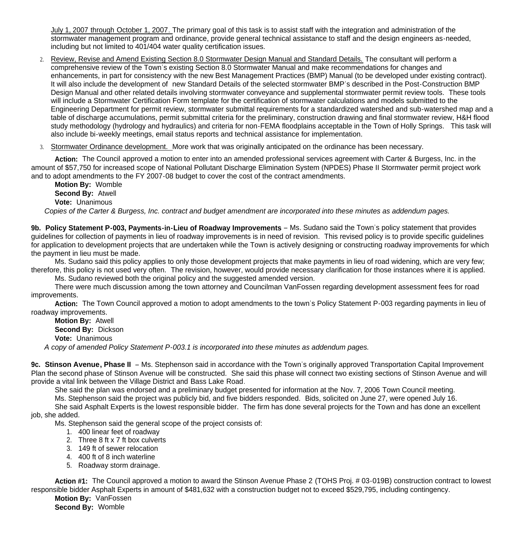July 1, 2007 through October 1, 2007. The primary goal of this task is to assist staff with the integration and administration of the stormwater management program and ordinance, provide general technical assistance to staff and the design engineers as-needed, including but not limited to 401/404 water quality certification issues.

- 2. Review, Revise and Amend Existing Section 8.0 Stormwater Design Manual and Standard Details. The consultant will perform a comprehensive review of the Town's existing Section 8.0 Stormwater Manual and make recommendations for changes and enhancements, in part for consistency with the new Best Management Practices (BMP) Manual (to be developed under existing contract). It will also include the development of new Standard Details of the selected stormwater BMP's described in the Post-Construction BMP Design Manual and other related details involving stormwater conveyance and supplemental stormwater permit review tools. These tools will include a Stormwater Certification Form template for the certification of stormwater calculations and models submitted to the Engineering Department for permit review, stormwater submittal requirements for a standardized watershed and sub-watershed map and a table of discharge accumulations, permit submittal criteria for the preliminary, construction drawing and final stormwater review, H&H flood study methodology (hydrology and hydraulics) and criteria for non-FEMA floodplains acceptable in the Town of Holly Springs. This task will also include bi-weekly meetings, email status reports and technical assistance for implementation.
- 3. Stormwater Ordinance development. More work that was originally anticipated on the ordinance has been necessary.

Action: The Council approved a motion to enter into an amended professional services agreement with Carter & Burgess, Inc. in the amount of \$57,750 for increased scope of National Pollutant Discharge Elimination System (NPDES) Phase II Stormwater permit project work and to adopt amendments to the FY 2007-08 budget to cover the cost of the contract amendments.

 **Motion By:** Womble **Second By:** Atwell **Vote:** Unanimous *Copies of the Carter & Burgess, Inc. contract and budget amendment are incorporated into these minutes as addendum pages.*

**9b. Policy Statement P-003, Payments-in-Lieu of Roadway Improvements** – Ms. Sudano said the Town's policy statement that provides guidelines for collection of payments in lieu of roadway improvements is in need of revision. This revised policy is to provide specific guidelines for application to development projects that are undertaken while the Town is actively designing or constructing roadway improvements for which the payment in lieu must be made.

 Ms. Sudano said this policy applies to only those development projects that make payments in lieu of road widening, which are very few; therefore, this policy is not used very often. The revision, however, would provide necessary clarification for those instances where it is applied.

Ms. Sudano reviewed both the original policy and the suggested amended version.

There were much discussion among the town attorney and Councilman VanFossen regarding development assessment fees for road improvements.

**Action:** The Town Council approved a motion to adopt amendments to the town's Policy Statement P-003 regarding payments in lieu of roadway improvements.

 **Motion By:** Atwell **Second By:** Dickson

**Vote:** Unanimous

*A copy of amended Policy Statement P-003.1 is incorporated into these minutes as addendum pages.*

**9c. Stinson Avenue, Phase II** – Ms. Stephenson said in accordance with the Town's originally approved Transportation Capital Improvement Plan the second phase of Stinson Avenue will be constructed. She said this phase will connect two existing sections of Stinson Avenue and will provide a vital link between the Village District and Bass Lake Road.

She said the plan was endorsed and a preliminary budget presented for information at the Nov. 7, 2006 Town Council meeting.

Ms. Stephenson said the project was publicly bid, and five bidders responded. Bids, solicited on June 27, were opened July 16.

 She said Asphalt Experts is the lowest responsible bidder. The firm has done several projects for the Town and has done an excellent job, she added.

Ms. Stephenson said the general scope of the project consists of:

- 1. 400 linear feet of roadway
- 2. Three 8 ft x 7 ft box culverts
- 3. 149 ft of sewer relocation
- 4. 400 ft of 8 inch waterline
- 5. Roadway storm drainage.

**Action #1:** The Council approved a motion to award the Stinson Avenue Phase 2 (TOHS Proj. # 03-019B) construction contract to lowest responsible bidder Asphalt Experts in amount of \$481,632 with a construction budget not to exceed \$529,795, including contingency.

**Motion By:** VanFossen **Second By:** Womble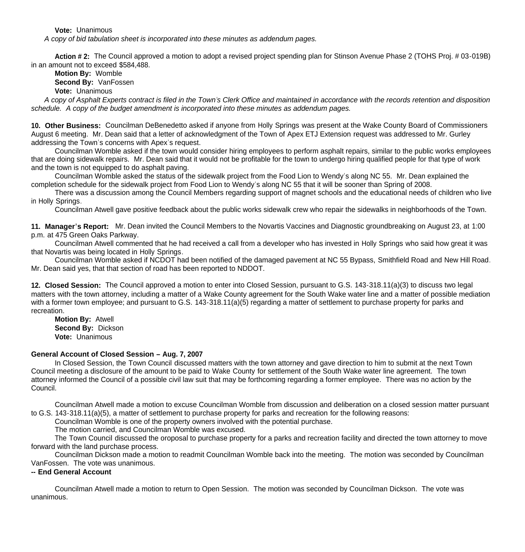**Vote:** Unanimous

*A copy of bid tabulation sheet is incorporated into these minutes as addendum pages.*

**Action # 2:** The Council approved a motion to adopt a revised project spending plan for Stinson Avenue Phase 2 (TOHS Proj. # 03-019B) in an amount not to exceed \$584,488.

**Motion By:** Womble **Second By:** VanFossen **Vote:** Unanimous

*A copy of Asphalt Experts contract is filed in the Town's Clerk Office and maintained in accordance with the records retention and disposition schedule. A copy of the budget amendment is incorporated into these minutes as addendum pages.*

**10. Other Business:** Councilman DeBenedetto asked if anyone from Holly Springs was present at the Wake County Board of Commissioners August 6 meeting. Mr. Dean said that a letter of acknowledgment of the Town of Apex ETJ Extension request was addressed to Mr. Gurley addressing the Town's concerns with Apex's request.

Councilman Womble asked if the town would consider hiring employees to perform asphalt repairs, similar to the public works employees that are doing sidewalk repairs. Mr. Dean said that it would not be profitable for the town to undergo hiring qualified people for that type of work and the town is not equipped to do asphalt paving.

Councilman Womble asked the status of the sidewalk project from the Food Lion to Wendy's along NC 55. Mr. Dean explained the completion schedule for the sidewalk project from Food Lion to Wendy's along NC 55 that it will be sooner than Spring of 2008.

There was a discussion among the Council Members regarding support of magnet schools and the educational needs of children who live in Holly Springs.

Councilman Atwell gave positive feedback about the public works sidewalk crew who repair the sidewalks in neighborhoods of the Town.

**11. Manager's Report:** Mr. Dean invited the Council Members to the Novartis Vaccines and Diagnostic groundbreaking on August 23, at 1:00 p.m. at 475 Green Oaks Parkway.

Councilman Atwell commented that he had received a call from a developer who has invested in Holly Springs who said how great it was that Novartis was being located in Holly Springs.

Councilman Womble asked if NCDOT had been notified of the damaged pavement at NC 55 Bypass, Smithfield Road and New Hill Road. Mr. Dean said yes, that that section of road has been reported to NDDOT.

**12. Closed Session:** The Council approved a motion to enter into Closed Session, pursuant to G.S. 143-318.11(a)(3) to discuss two legal matters with the town attorney, including a matter of a Wake County agreement for the South Wake water line and a matter of possible mediation with a former town employee; and pursuant to G.S. 143-318.11(a)(5) regarding a matter of settlement to purchase property for parks and recreation.

 **Motion By:** Atwell **Second By:** Dickson **Vote:** Unanimous

### **General Account of Closed Session – Aug. 7, 2007**

 In Closed Session, the Town Council discussed matters with the town attorney and gave direction to him to submit at the next Town Council meeting a disclosure of the amount to be paid to Wake County for settlement of the South Wake water line agreement. The town attorney informed the Council of a possible civil law suit that may be forthcoming regarding a former employee. There was no action by the Council.

Councilman Atwell made a motion to excuse Councilman Womble from discussion and deliberation on a closed session matter pursuant to G.S. 143-318.11(a)(5), a matter of settlement to purchase property for parks and recreation for the following reasons:

Councilman Womble is one of the property owners involved with the potential purchase.

The motion carried, and Councilman Womble was excused.

 The Town Council discussed the oroposal to purchase property for a parks and recreation facility and directed the town attorney to move forward with the land purchase process.

Councilman Dickson made a motion to readmit Councilman Womble back into the meeting. The motion was seconded by Councilman VanFossen. The vote was unanimous.

#### **-- End General Account**

Councilman Atwell made a motion to return to Open Session. The motion was seconded by Councilman Dickson. The vote was unanimous.